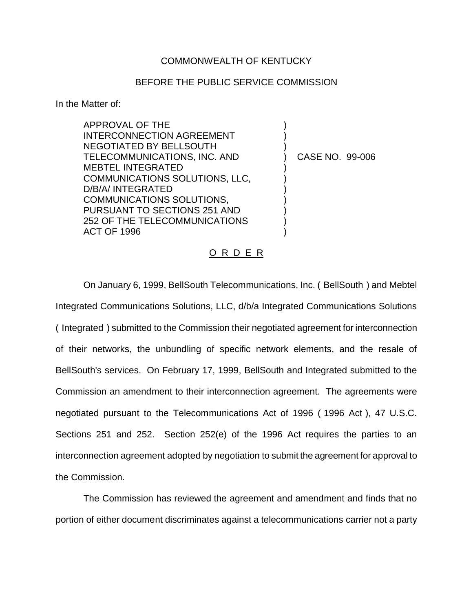## COMMONWEALTH OF KENTUCKY

## BEFORE THE PUBLIC SERVICE COMMISSION

In the Matter of:

APPROVAL OF THE INTERCONNECTION AGREEMENT NEGOTIATED BY BELLSOUTH TELECOMMUNICATIONS, INC. AND MEBTEL INTEGRATED COMMUNICATIONS SOLUTIONS, LLC, D/B/A/ INTEGRATED COMMUNICATIONS SOLUTIONS, PURSUANT TO SECTIONS 251 AND 252 OF THE TELECOMMUNICATIONS ACT OF 1996 ) ) ) ) CASE NO. 99-006 ) ) ) ) ) ) )

## O R D E R

On January 6, 1999, BellSouth Telecommunications, Inc. ( BellSouth ) and Mebtel Integrated Communications Solutions, LLC, d/b/a Integrated Communications Solutions ( Integrated ) submitted to the Commission their negotiated agreement for interconnection of their networks, the unbundling of specific network elements, and the resale of BellSouth's services. On February 17, 1999, BellSouth and Integrated submitted to the Commission an amendment to their interconnection agreement. The agreements were negotiated pursuant to the Telecommunications Act of 1996 ( 1996 Act ), 47 U.S.C. Sections 251 and 252. Section 252(e) of the 1996 Act requires the parties to an interconnection agreement adopted by negotiation to submit the agreement for approval to the Commission.

The Commission has reviewed the agreement and amendment and finds that no portion of either document discriminates against a telecommunications carrier not a party